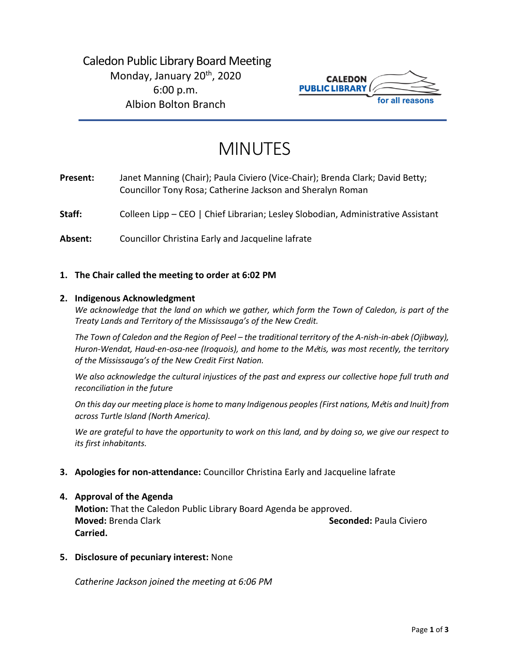# Caledon Public Library Board Meeting Monday, January 20<sup>th</sup>, 2020 6:00 p.m. Albion Bolton Branch



# MINUTES

**Present:** Janet Manning (Chair); Paula Civiero (Vice-Chair); Brenda Clark; David Betty; Councillor Tony Rosa; Catherine Jackson and Sheralyn Roman

Staff: Colleen Lipp – CEO | Chief Librarian; Lesley Slobodian, Administrative Assistant

**Absent:** Councillor Christina Early and Jacqueline lafrate

#### **1. The Chair called the meeting to order at 6:02 PM**

#### **2. Indigenous Acknowledgment**

*We acknowledge that the land on which we gather, which form the Town of Caledon, is part of the Treaty Lands and Territory of the Mississauga's of the New Credit.* 

*The Town of Caledon and the Region of Peel – the traditional territory of the A-nish-in-abek (Ojibway), Huron-Wendat, Haud-en-osa-nee (Iroquois), and home to the M*é*tis, was most recently, the territory of the Mississauga's of the New Credit First Nation.* 

*We also acknowledge the cultural injustices of the past and express our collective hope full truth and reconciliation in the future*

*On this day our meeting place is home to many Indigenous peoples (First nations, M*é*tis and Inuit) from across Turtle Island (North America).* 

*We are grateful to have the opportunity to work on this land, and by doing so, we give our respect to its first inhabitants.* 

**3. Apologies for non-attendance:** Councillor Christina Early and Jacqueline lafrate

#### **4. Approval of the Agenda**

**Motion:** That the Caledon Public Library Board Agenda be approved. **Moved:** Brenda Clark **Seconded:** Paula Civiero **Carried.**

**5. Disclosure of pecuniary interest:** None

*Catherine Jackson joined the meeting at 6:06 PM*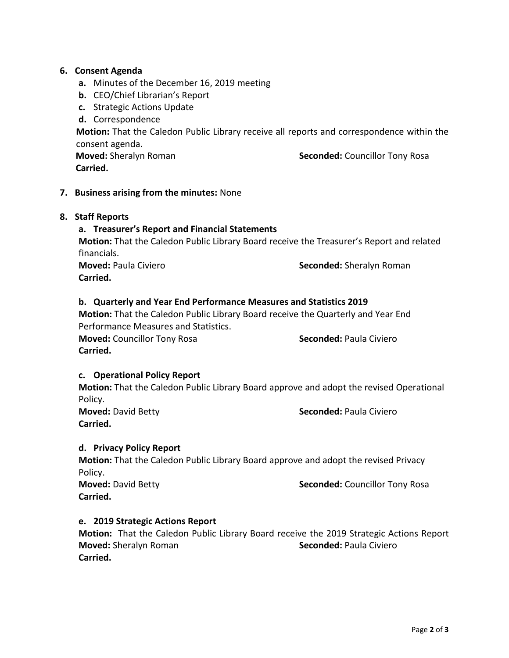#### **6. Consent Agenda**

- **a.** Minutes of the December 16, 2019 meeting
- **b.** CEO/Chief Librarian's Report
- **c.** Strategic Actions Update

**d.** Correspondence

**Motion:** That the Caledon Public Library receive all reports and correspondence within the consent agenda.

 **Carried.** 

**Moved:** Sheralyn Roman **Seconded:** Councillor Tony Rosa

#### **7. Business arising from the minutes:** None

#### **8. Staff Reports**

#### **a. Treasurer's Report and Financial Statements**

**Motion:** That the Caledon Public Library Board receive the Treasurer's Report and related financials.

**Carried.**

**Moved: Paula Civiero <b>Seconded:** Sheralyn Roman

#### **b. Quarterly and Year End Performance Measures and Statistics 2019**

**Motion:** That the Caledon Public Library Board receive the Quarterly and Year End Performance Measures and Statistics. **Moved:** Councillor Tony Rosa **Seconded:** Paula Civiero **Carried.** 

#### **c. Operational Policy Report**

**Motion:** That the Caledon Public Library Board approve and adopt the revised Operational Policy.

**Carried.**

**Moved:** David Betty **Seconded:** Paula Civiero

#### **d. Privacy Policy Report**

**Motion:** That the Caledon Public Library Board approve and adopt the revised Privacy Policy.

**Carried.**

**Moved:** David Betty **Seconded:** Councillor Tony Rosa

#### **e. 2019 Strategic Actions Report**

**Motion:** That the Caledon Public Library Board receive the 2019 Strategic Actions Report **Moved:** Sheralyn Roman **Seconded:** Paula Civiero **Carried.**